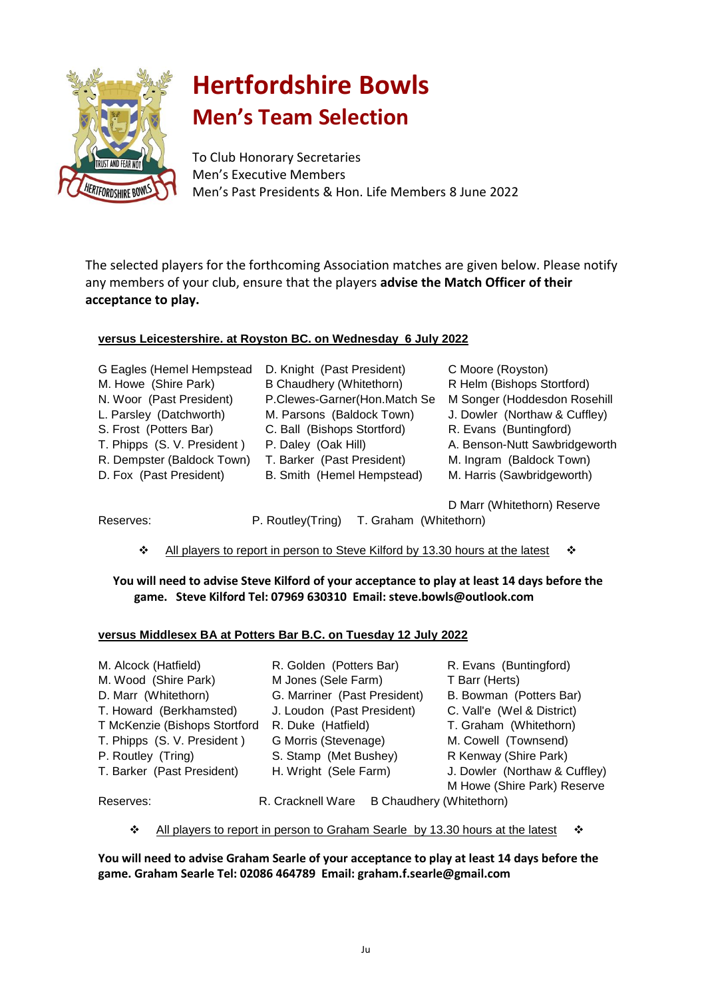

# **Hertfordshire Bowls Men's Team Selection**

To Club Honorary Secretaries Men's Executive Members Men's Past Presidents & Hon. Life Members 8 June 2022

The selected players for the forthcoming Association matches are given below. Please notify any members of your club, ensure that the players **advise the Match Officer of their acceptance to play.**

#### **versus Leicestershire. at Royston BC. on Wednesday 6 July 2022**

| G Eagles (Hemel Hempstead   | D. Knight (Past President)      | C Moore (Royston)             |
|-----------------------------|---------------------------------|-------------------------------|
| M. Howe (Shire Park)        | <b>B Chaudhery (Whitethorn)</b> | R Helm (Bishops Stortford)    |
| N. Woor (Past President)    | P.Clewes-Garner(Hon.Match Se    | M Songer (Hoddesdon Rosehill  |
| L. Parsley (Datchworth)     | M. Parsons (Baldock Town)       | J. Dowler (Northaw & Cuffley) |
| S. Frost (Potters Bar)      | C. Ball (Bishops Stortford)     | R. Evans (Buntingford)        |
| T. Phipps (S. V. President) | P. Daley (Oak Hill)             | A. Benson-Nutt Sawbridgeworth |
| R. Dempster (Baldock Town)  | T. Barker (Past President)      | M. Ingram (Baldock Town)      |
| D. Fox (Past President)     | B. Smith (Hemel Hempstead)      | M. Harris (Sawbridgeworth)    |
|                             |                                 |                               |
|                             |                                 |                               |

D Marr (Whitethorn) Reserve

Reserves: P. Routley(Tring) T. Graham (Whitethorn)

All players to report in person to Steve Kilford by 13.30 hours at the latest  $\cdot \cdot$ 

**You will need to advise Steve Kilford of your acceptance to play at least 14 days before the game. Steve Kilford Tel: 07969 630310 Email: steve.bowls@outlook.com**

#### **versus Middlesex BA at Potters Bar B.C. on Tuesday 12 July 2022**

| M. Alcock (Hatfield)          | R. Golden (Potters Bar)      | R. Evans (Buntingford)        |
|-------------------------------|------------------------------|-------------------------------|
| M. Wood (Shire Park)          | M Jones (Sele Farm)          | T Barr (Herts)                |
| D. Marr (Whitethorn)          | G. Marriner (Past President) | B. Bowman (Potters Bar)       |
| T. Howard (Berkhamsted)       | J. Loudon (Past President)   | C. Vall'e (Wel & District)    |
| T McKenzie (Bishops Stortford | R. Duke (Hatfield)           | T. Graham (Whitethorn)        |
| T. Phipps (S. V. President)   | G Morris (Stevenage)         | M. Cowell (Townsend)          |
| P. Routley (Tring)            | S. Stamp (Met Bushey)        | R Kenway (Shire Park)         |
| T. Barker (Past President)    | H. Wright (Sele Farm)        | J. Dowler (Northaw & Cuffley) |
|                               |                              | M Howe (Shire Park) Reserve   |
| Reserves:                     | R. Cracknell Ware            | B Chaudhery (Whitethorn)      |
|                               |                              |                               |

† All players to report in person to Graham Searle by 13.30 hours at the latest  $\diamond$ 

**You will need to advise Graham Searle of your acceptance to play at least 14 days before the game. Graham Searle Tel: 02086 464789 Email: graham.f.searle@gmail.com**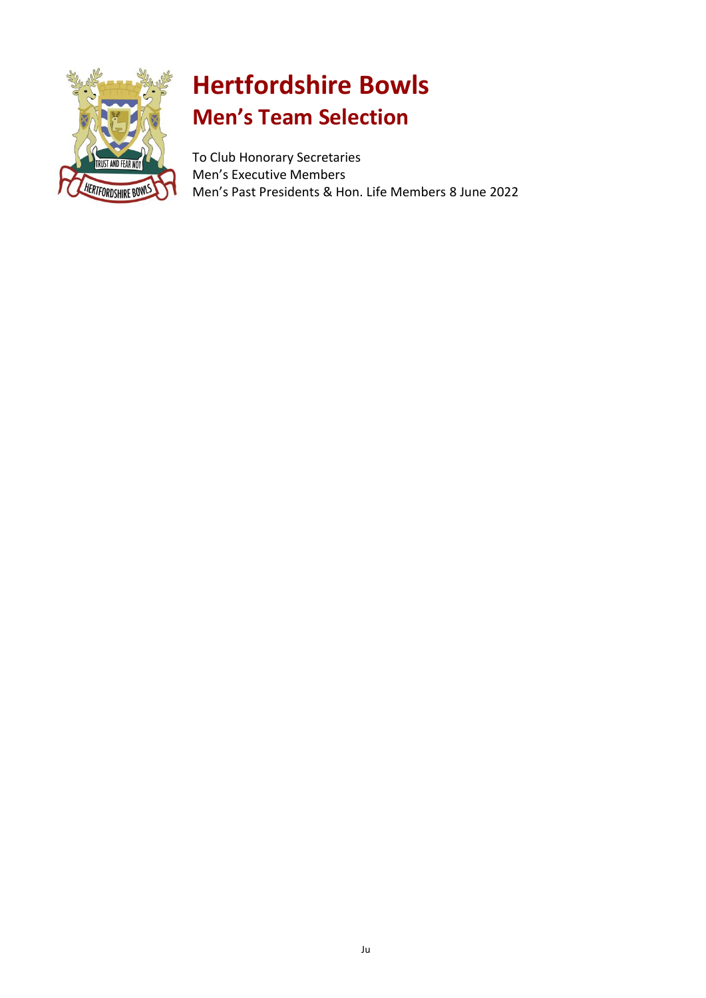

## **Hertfordshire Bowls Men's Team Selection**

To Club Honorary Secretaries Men's Executive Members Men's Past Presidents & Hon. Life Members 8 June 2022